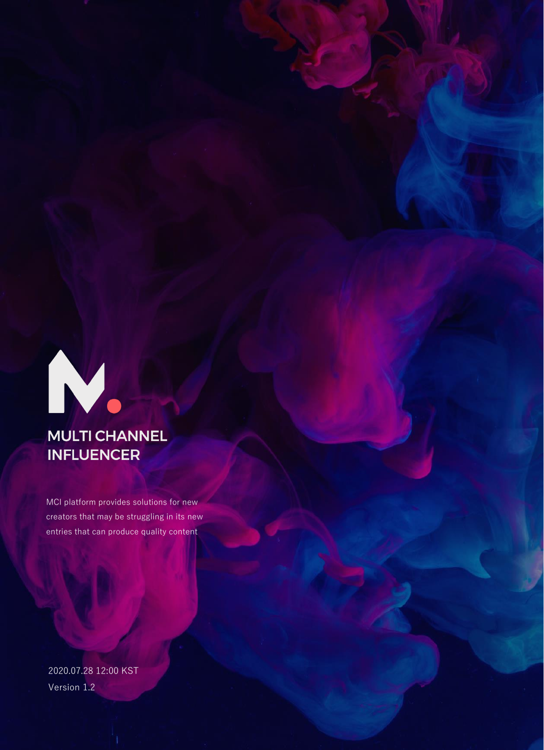

## **MULTI CHANNEL INFLUENCER**

MCI platform provides solutions for new creators that may be struggling in its new entries that can produce quality content

Version 1.2 2020.07.28 12:00 KST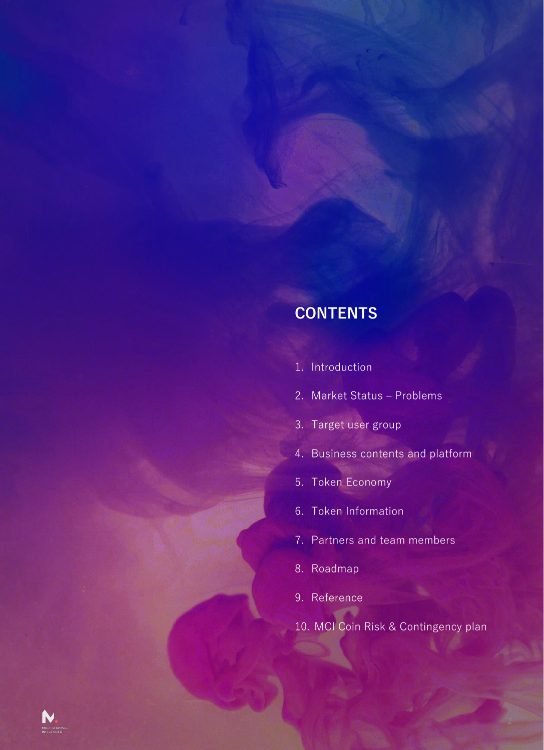## **CONTENTS**

- 1. Introduction
- 2. Market Status Problems
- 3. Target user group
- 4. Business contents and platform
- 5. Token Economy
- 6. Token Information
- 7. Partners and team members
- 8. Roadmap
- 9. Reference
- 10. MCI Coin Risk & Contingency plan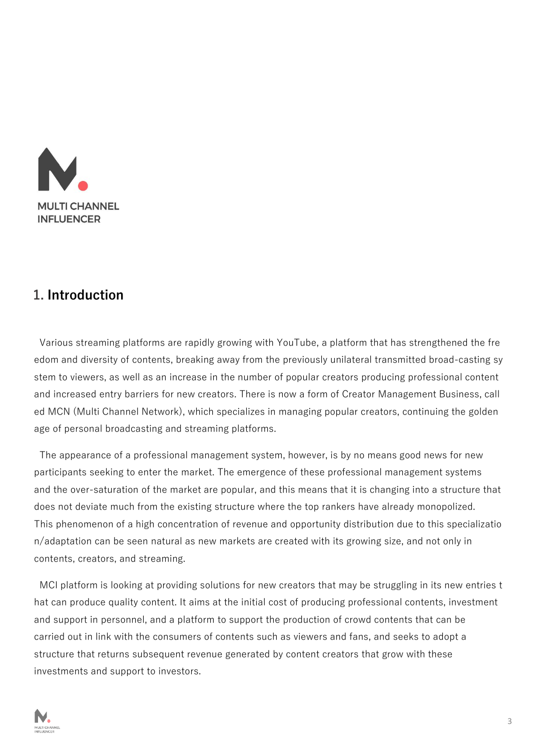

### **1. Introduction**

Various streaming platforms are rapidly growing with YouTube, a platform that has strengthened the fre edom and diversity of contents, breaking away from the previously unilateral transmitted broad-casting sy stem to viewers, as well as an increase in the number of popular creators producing professional content and increased entry barriers for new creators. There is now a form of Creator Management Business, call ed MCN (Multi Channel Network), which specializes in managing popular creators, continuing the golden age of personal broadcasting and streaming platforms.

The appearance of a professional management system, however, is by no means good news for new participants seeking to enter the market. The emergence of these professional management systems and the over-saturation of the market are popular, and this means that it is changing into a structure that does not deviate much from the existing structure where the top rankers have already monopolized. This phenomenon of a high concentration of revenue and opportunity distribution due to this specializatio n/adaptation can be seen natural as new markets are created with its growing size, and not only in contents, creators, and streaming.

MCI platform is looking at providing solutions for new creators that may be struggling in its new entries t hat can produce quality content. It aims at the initial cost of producing professional contents, investment and support in personnel, and a platform to support the production of crowd contents that can be carried out in link with the consumers of contents such as viewers and fans, and seeks to adopt a structure that returns subsequent revenue generated by content creators that grow with these investments and support to investors.

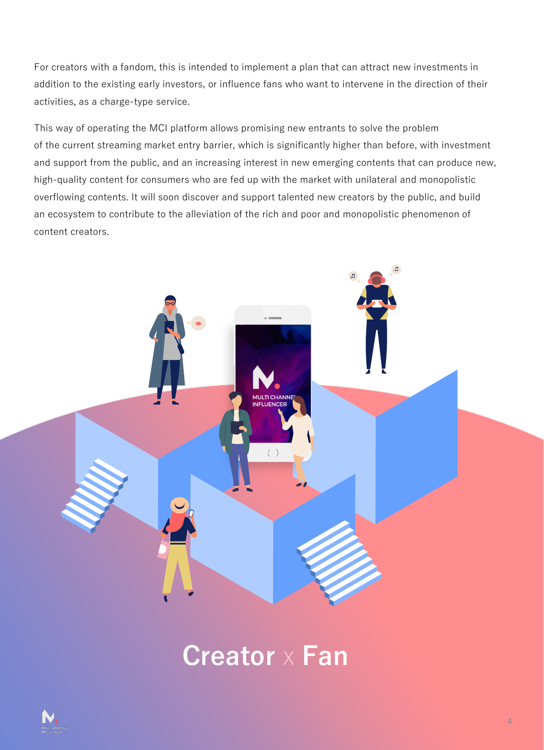For creators with a fandom, this is intended to implement a plan that can attract new investments in addition to the existing early investors, or influence fans who want to intervene in the direction of their activities, as a charge-type service.

This way of operating the MCI platform allows promising new entrants to solve the problem of the current streaming market entry barrier, which is significantly higher than before, with investment and support from the public, and an increasing interest in new emerging contents that can produce new, high-quality content for consumers who are fed up with the market with unilateral and monopolistic overflowing contents. It will soon discover and support talented new creators by the public, and build an ecosystem to contribute to the alleviation of the rich and poor and monopolistic phenomenon of content creators.



# **Creator** X **Fan**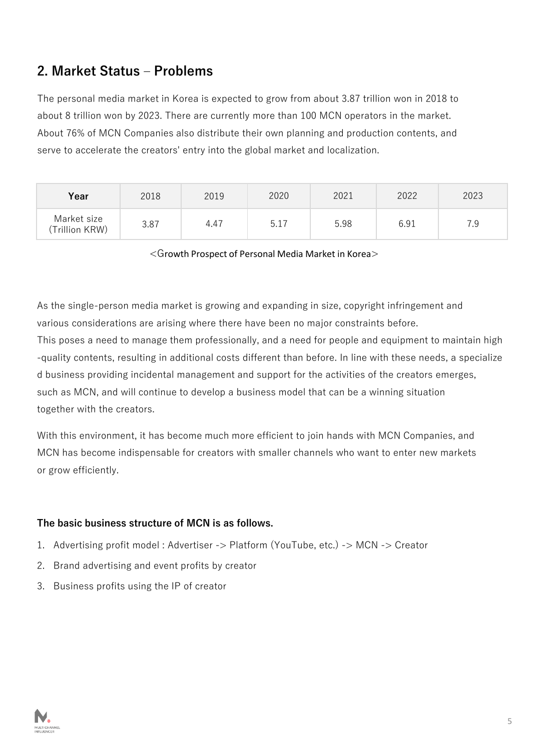## **2. Market Status – Problems**

The personal media market in Korea is expected to grow from about 3.87 trillion won in 2018 to about 8 trillion won by 2023. There are currently more than 100 MCN operators in the market. About 76% of MCN Companies also distribute their own planning and production contents, and serve to accelerate the creators' entry into the global market and localization.

| Year                          | 2018 | 2019 | 2020 | 2021 | 2022 | 2023 |
|-------------------------------|------|------|------|------|------|------|
| Market size<br>(Trillion KRW) | 3.87 | 4.47 | 5.17 | 5.98 | 6.91 | 7.9  |

<Growth Prospect of Personal Media Market in Korea>

As the single-person media market is growing and expanding in size, copyright infringement and various considerations are arising where there have been no major constraints before.

This poses a need to manage them professionally, and a need for people and equipment to maintain high -quality contents, resulting in additional costs different than before. In line with these needs, a specialize d business providing incidental management and support for the activities of the creators emerges, such as MCN, and will continue to develop a business model that can be a winning situation together with the creators.

With this environment, it has become much more efficient to join hands with MCN Companies, and MCN has become indispensable for creators with smaller channels who want to enter new markets or grow efficiently.

#### **The basic business structure of MCN is as follows.**

- 1. Advertising profit model : Advertiser -> Platform (YouTube, etc.) -> MCN -> Creator
- 2. Brand advertising and event profits by creator
- 3. Business profits using the IP of creator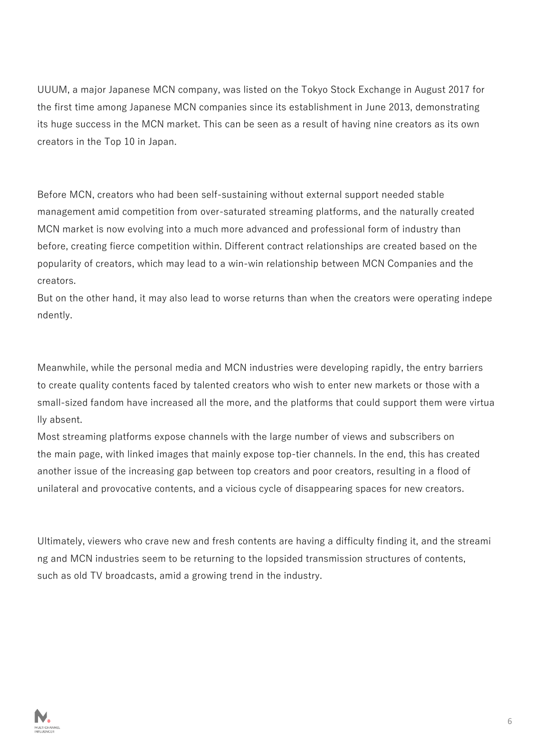UUUM, a major Japanese MCN company, was listed on the Tokyo Stock Exchange in August 2017 for the first time among Japanese MCN companies since its establishment in June 2013, demonstrating its huge success in the MCN market. This can be seen as a result of having nine creators as its own creators in the Top 10 in Japan.

Before MCN, creators who had been self-sustaining without external support needed stable management amid competition from over-saturated streaming platforms, and the naturally created MCN market is now evolving into a much more advanced and professional form of industry than before, creating fierce competition within. Different contract relationships are created based on the popularity of creators, which may lead to a win-win relationship between MCN Companies and the creators.

But on the other hand, it may also lead to worse returns than when the creators were operating indepe ndently.

Meanwhile, while the personal media and MCN industries were developing rapidly, the entry barriers to create quality contents faced by talented creators who wish to enter new markets or those with a small-sized fandom have increased all the more, and the platforms that could support them were virtua lly absent.

Most streaming platforms expose channels with the large number of views and subscribers on the main page, with linked images that mainly expose top-tier channels. In the end, this has created another issue of the increasing gap between top creators and poor creators, resulting in a flood of unilateral and provocative contents, and a vicious cycle of disappearing spaces for new creators.

Ultimately, viewers who crave new and fresh contents are having a difficulty finding it, and the streami ng and MCN industries seem to be returning to the lopsided transmission structures of contents, such as old TV broadcasts, amid a growing trend in the industry.

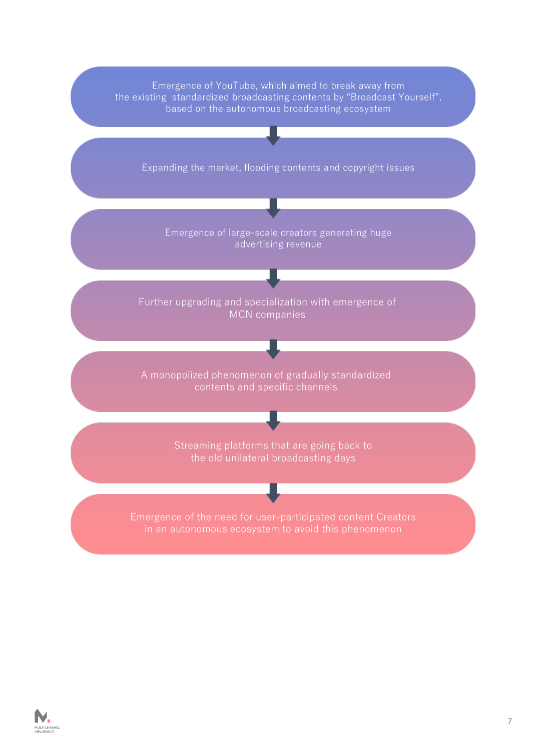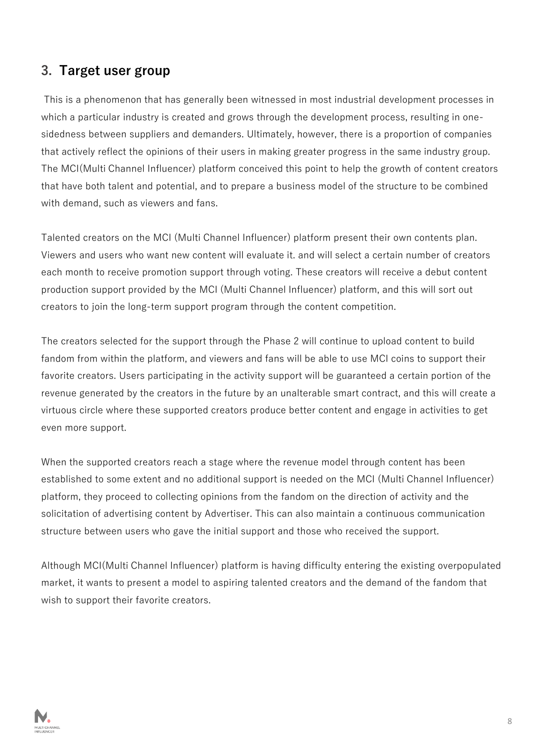#### **3. Target user group**

This is a phenomenon that has generally been witnessed in most industrial development processes in which a particular industry is created and grows through the development process, resulting in onesidedness between suppliers and demanders. Ultimately, however, there is a proportion of companies that actively reflect the opinions of their users in making greater progress in the same industry group. The MCI(Multi Channel Influencer) platform conceived this point to help the growth of content creators that have both talent and potential, and to prepare a business model of the structure to be combined with demand, such as viewers and fans.

Talented creators on the MCI (Multi Channel Influencer) platform present their own contents plan. Viewers and users who want new content will evaluate it. and will select a certain number of creators each month to receive promotion support through voting. These creators will receive a debut content production support provided by the MCI (Multi Channel Influencer) platform, and this will sort out creators to join the long-term support program through the content competition.

The creators selected for the support through the Phase 2 will continue to upload content to build fandom from within the platform, and viewers and fans will be able to use MCI coins to support their favorite creators. Users participating in the activity support will be guaranteed a certain portion of the revenue generated by the creators in the future by an unalterable smart contract, and this will create a virtuous circle where these supported creators produce better content and engage in activities to get even more support.

When the supported creators reach a stage where the revenue model through content has been established to some extent and no additional support is needed on the MCI (Multi Channel Influencer) platform, they proceed to collecting opinions from the fandom on the direction of activity and the solicitation of advertising content by Advertiser. This can also maintain a continuous communication structure between users who gave the initial support and those who received the support.

Although MCI(Multi Channel Influencer) platform is having difficulty entering the existing overpopulated market, it wants to present a model to aspiring talented creators and the demand of the fandom that wish to support their favorite creators.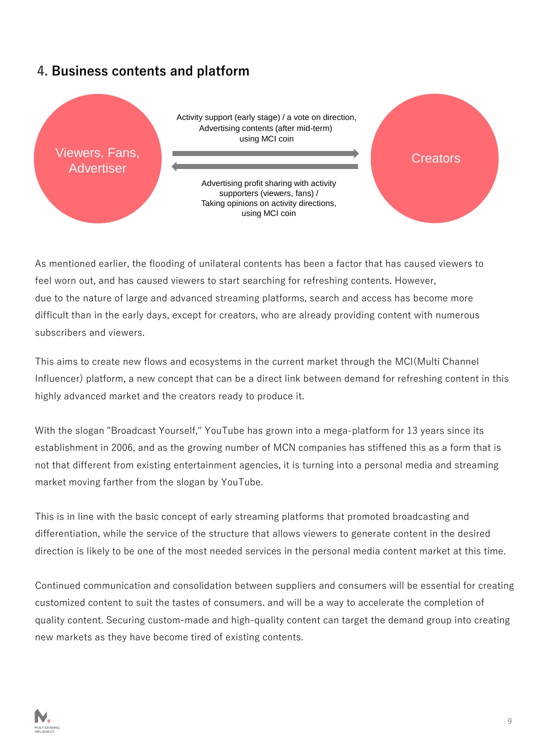## **4. Business contents and platform**



As mentioned earlier, the flooding of unilateral contents has been a factor that has caused viewers to feel worn out, and has caused viewers to start searching for refreshing contents. However, due to the nature of large and advanced streaming platforms, search and access has become more difficult than in the early days, except for creators, who are already providing content with numerous subscribers and viewers.

This aims to create new flows and ecosystems in the current market through the MCI(Multi Channel Influencer) platform, a new concept that can be a direct link between demand for refreshing content in this highly advanced market and the creators ready to produce it.

With the slogan "Broadcast Yourself," YouTube has grown into a mega-platform for 13 years since its establishment in 2006, and as the growing number of MCN companies has stiffened this as a form that is not that different from existing entertainment agencies, it is turning into a personal media and streaming market moving farther from the slogan by YouTube.

This is in line with the basic concept of early streaming platforms that promoted broadcasting and differentiation, while the service of the structure that allows viewers to generate content in the desired direction is likely to be one of the most needed services in the personal media content market at this time.

Continued communication and consolidation between suppliers and consumers will be essential for creating customized content to suit the tastes of consumers. and will be a way to accelerate the completion of quality content. Securing custom-made and high-quality content can target the demand group into creating new markets as they have become tired of existing contents.

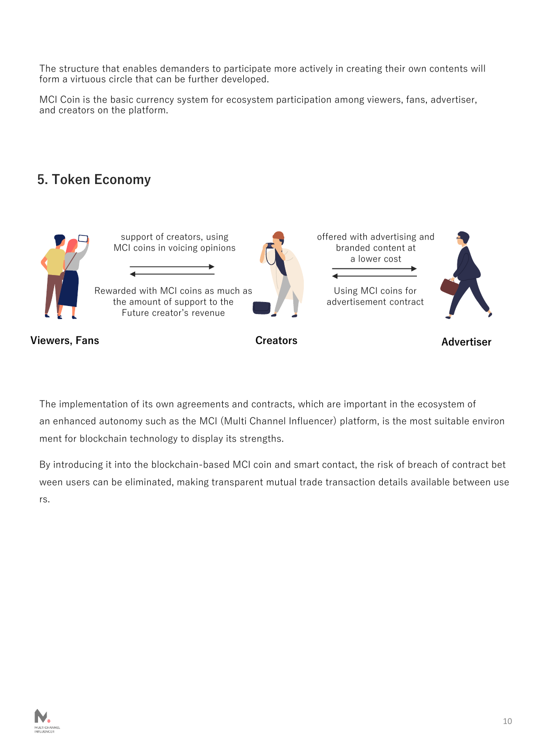The structure that enables demanders to participate more actively in creating their own contents will form a virtuous circle that can be further developed.

MCI Coin is the basic currency system for ecosystem participation among viewers, fans, advertiser, and creators on the platform.

## **5. Token Economy**



The implementation of its own agreements and contracts, which are important in the ecosystem of an enhanced autonomy such as the MCI (Multi Channel Influencer) platform, is the most suitable environ ment for blockchain technology to display its strengths.

By introducing it into the blockchain-based MCI coin and smart contact, the risk of breach of contract bet ween users can be eliminated, making transparent mutual trade transaction details available between use rs.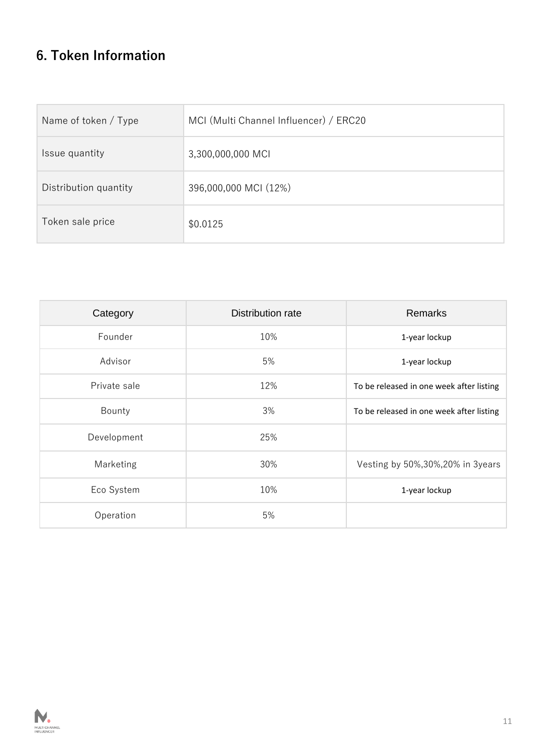## **6. Token Information**

| Name of token / Type  | MCI (Multi Channel Influencer) / ERC20 |  |  |
|-----------------------|----------------------------------------|--|--|
| Issue quantity        | 3,300,000,000 MCI                      |  |  |
| Distribution quantity | 396,000,000 MCI (12%)                  |  |  |
| Token sale price      | \$0.0125                               |  |  |

| Category     | Distribution rate | <b>Remarks</b>                           |
|--------------|-------------------|------------------------------------------|
| Founder      | 10%               | 1-year lockup                            |
| Advisor      | 5%                | 1-year lockup                            |
| Private sale | 12%               | To be released in one week after listing |
| Bounty       | 3%                | To be released in one week after listing |
| Development  | 25%               |                                          |
| Marketing    | 30%               | Vesting by 50%, 30%, 20% in 3years       |
| Eco System   | 10%               | 1-year lockup                            |
| Operation    | 5%                |                                          |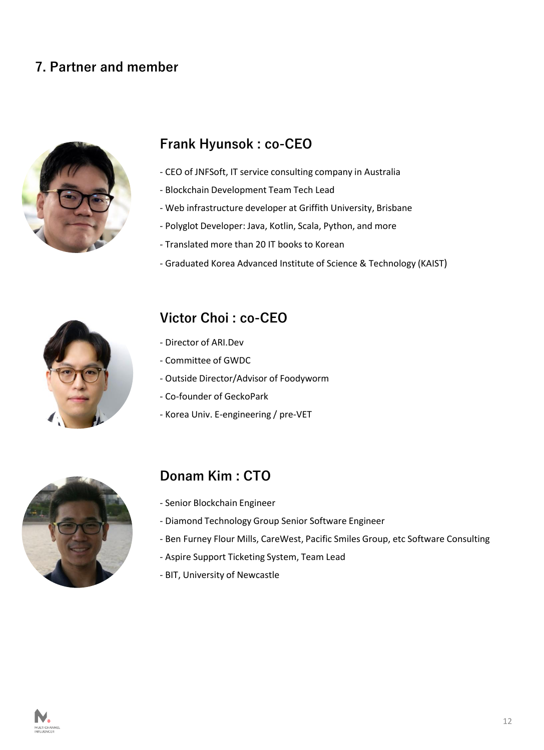## **7. Partner and member**



## **Frank Hyunsok : co-CEO**

- CEO of JNFSoft, IT service consulting company in Australia
- Blockchain Development Team Tech Lead
- Web infrastructure developer at Griffith University, Brisbane
- Polyglot Developer: Java, Kotlin, Scala, Python, and more
- Translated more than 20 IT books to Korean
- Graduated Korea Advanced Institute of Science & Technology (KAIST)



### **Victor Choi : co-CEO**

- Director of ARI.Dev
- Committee of GWDC
- Outside Director/Advisor of Foodyworm
- Co-founder of GeckoPark
- Korea Univ. E-engineering / pre-VET



## **Donam Kim : CTO**

- Senior Blockchain Engineer
- Diamond Technology Group Senior Software Engineer
- Ben Furney Flour Mills, CareWest, Pacific Smiles Group, etc Software Consulting
- Aspire Support Ticketing System, Team Lead
- BIT, University of Newcastle

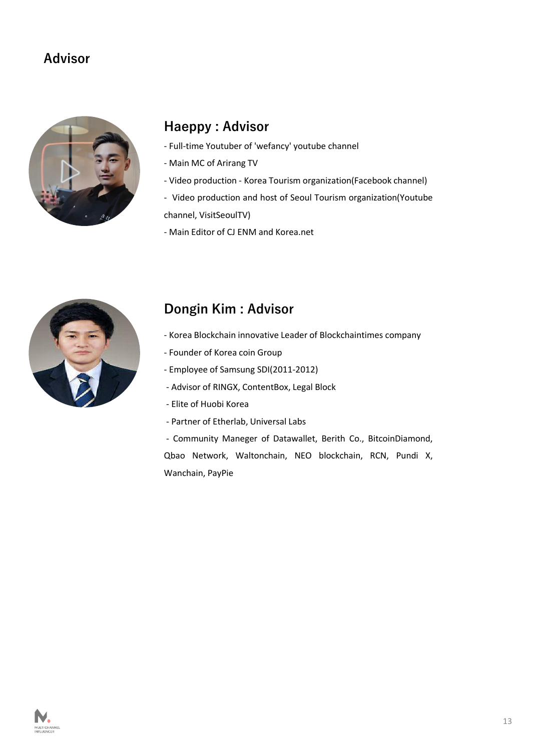### **Advisor**



## **Haeppy : Advisor**

- Full-time Youtuber of 'wefancy' youtube channel
- Main MC of Arirang TV
- Video production Korea Tourism organization(Facebook channel)
- Video production and host of Seoul Tourism organization(Youtube channel, VisitSeoulTV)
- Main Editor of CJ ENM and Korea.net



## **Dongin Kim : Advisor**

- Korea Blockchain innovative Leader of Blockchaintimes company
- Founder of Korea coin Group
- Employee of Samsung SDI(2011-2012)
- Advisor of RINGX, ContentBox, Legal Block
- Elite of Huobi Korea
- Partner of Etherlab, Universal Labs

- Community Maneger of Datawallet, Berith Co., BitcoinDiamond, Qbao Network, Waltonchain, NEO blockchain, RCN, Pundi X, Wanchain, PayPie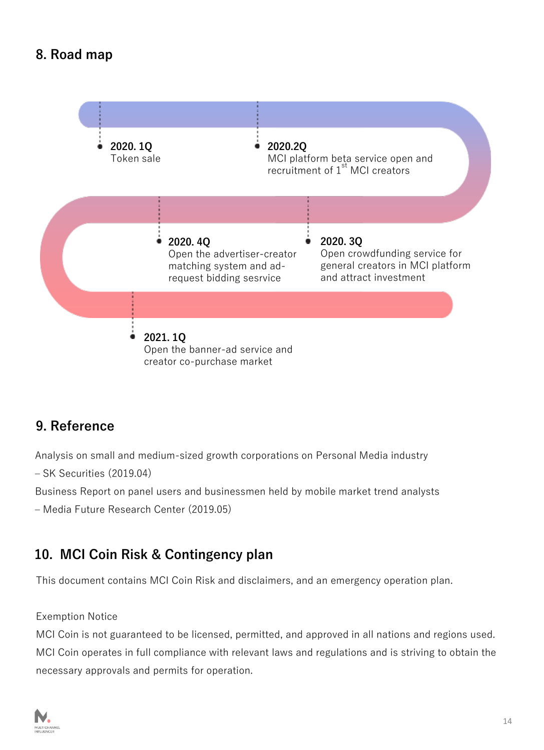## **8. Road map**



## **9. Reference**

Analysis on small and medium-sized growth corporations on Personal Media industry

– SK Securities (2019.04)

Business Report on panel users and businessmen held by mobile market trend analysts

– Media Future Research Center (2019.05)

## **10. MCI Coin Risk & Contingency plan**

This document contains MCI Coin Risk and disclaimers, and an emergency operation plan.

#### Exemption Notice

MCI Coin is not guaranteed to be licensed, permitted, and approved in all nations and regions used. MCI Coin operates in full compliance with relevant laws and regulations and is striving to obtain the necessary approvals and permits for operation.

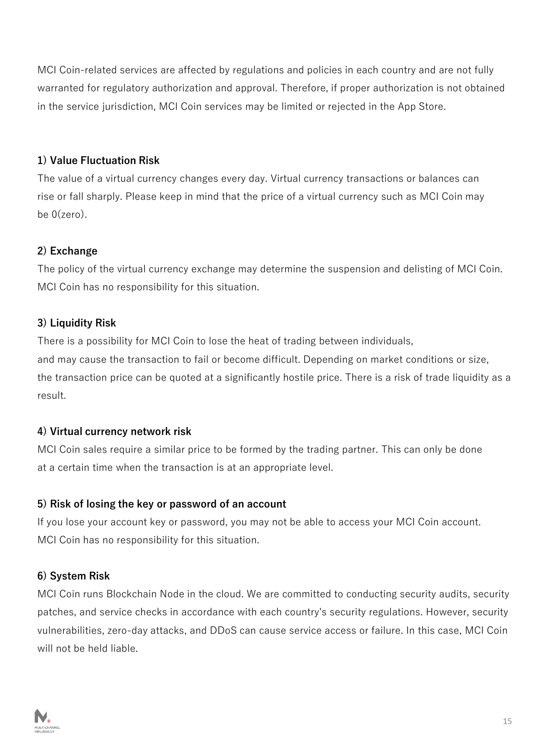MCI Coin-related services are affected by regulations and policies in each country and are not fully warranted for regulatory authorization and approval. Therefore, if proper authorization is not obtained in the service jurisdiction, MCI Coin services may be limited or rejected in the App Store.

#### **1) Value Fluctuation Risk**

The value of a virtual currency changes every day. Virtual currency transactions or balances can rise or fall sharply. Please keep in mind that the price of a virtual currency such as MCI Coin may be 0(zero).

#### **2) Exchange**

The policy of the virtual currency exchange may determine the suspension and delisting of MCI Coin. MCI Coin has no responsibility for this situation.

#### **3) Liquidity Risk**

There is a possibility for MCI Coin to lose the heat of trading between individuals, and may cause the transaction to fail or become difficult. Depending on market conditions or size, the transaction price can be quoted at a significantly hostile price. There is a risk of trade liquidity as a result.

#### **4) Virtual currency network risk**

MCI Coin sales require a similar price to be formed by the trading partner. This can only be done at a certain time when the transaction is at an appropriate level.

#### **5) Risk of losing the key or password of an account**

If you lose your account key or password, you may not be able to access your MCI Coin account. MCI Coin has no responsibility for this situation.

#### **6) System Risk**

MCI Coin runs Blockchain Node in the cloud. We are committed to conducting security audits, security patches, and service checks in accordance with each country's security regulations. However, security vulnerabilities, zero-day attacks, and DDoS can cause service access or failure. In this case, MCI Coin will not be held liable.

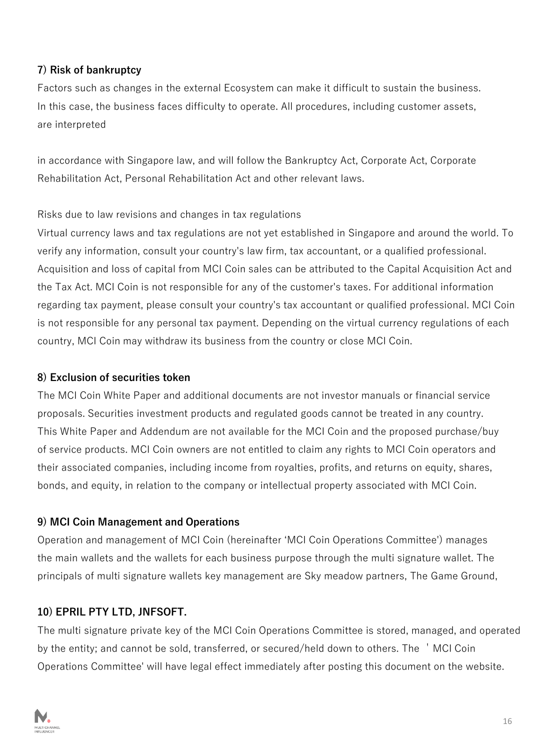#### **7) Risk of bankruptcy**

Factors such as changes in the external Ecosystem can make it difficult to sustain the business. In this case, the business faces difficulty to operate. All procedures, including customer assets, are interpreted

in accordance with Singapore law, and will follow the Bankruptcy Act, Corporate Act, Corporate Rehabilitation Act, Personal Rehabilitation Act and other relevant laws.

#### Risks due to law revisions and changes in tax regulations

Virtual currency laws and tax regulations are not yet established in Singapore and around the world. To verify any information, consult your country's law firm, tax accountant, or a qualified professional. Acquisition and loss of capital from MCI Coin sales can be attributed to the Capital Acquisition Act and the Tax Act. MCI Coin is not responsible for any of the customer's taxes. For additional information regarding tax payment, please consult your country's tax accountant or qualified professional. MCI Coin is not responsible for any personal tax payment. Depending on the virtual currency regulations of each country, MCI Coin may withdraw its business from the country or close MCI Coin.

#### **8) Exclusion of securities token**

The MCI Coin White Paper and additional documents are not investor manuals or financial service proposals. Securities investment products and regulated goods cannot be treated in any country. This White Paper and Addendum are not available for the MCI Coin and the proposed purchase/buy of service products. MCI Coin owners are not entitled to claim any rights to MCI Coin operators and their associated companies, including income from royalties, profits, and returns on equity, shares, bonds, and equity, in relation to the company or intellectual property associated with MCI Coin.

#### **9) MCI Coin Management and Operations**

Operation and management of MCI Coin (hereinafter 'MCI Coin Operations Committee') manages the main wallets and the wallets for each business purpose through the multi signature wallet. The principals of multi signature wallets key management are Sky meadow partners, The Game Ground,

#### **10) EPRIL PTY LTD, JNFSOFT.**

The multi signature private key of the MCI Coin Operations Committee is stored, managed, and operated by the entity; and cannot be sold, transferred, or secured/held down to others. The 'MCI Coin Operations Committee' will have legal effect immediately after posting this document on the website.

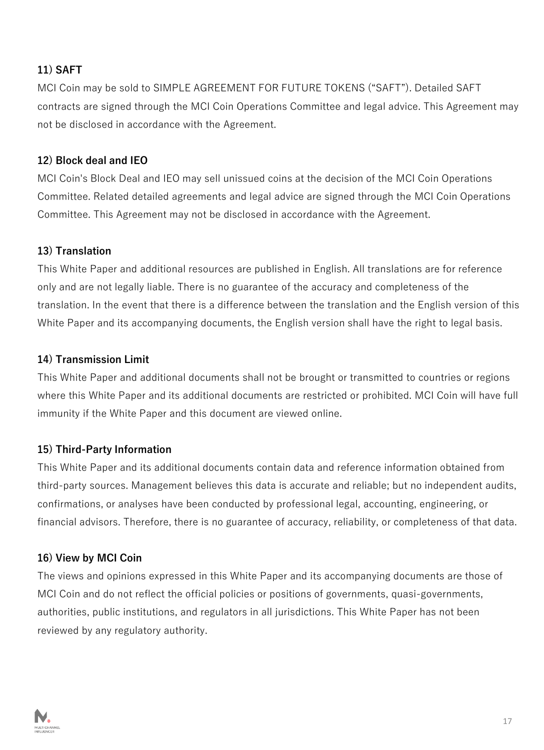#### **11) SAFT**

MCI Coin may be sold to SIMPLE AGREEMENT FOR FUTURE TOKENS ("SAFT"). Detailed SAFT contracts are signed through the MCI Coin Operations Committee and legal advice. This Agreement may not be disclosed in accordance with the Agreement.

#### **12) Block deal and IEO**

MCI Coin's Block Deal and IEO may sell unissued coins at the decision of the MCI Coin Operations Committee. Related detailed agreements and legal advice are signed through the MCI Coin Operations Committee. This Agreement may not be disclosed in accordance with the Agreement.

#### **13) Translation**

This White Paper and additional resources are published in English. All translations are for reference only and are not legally liable. There is no guarantee of the accuracy and completeness of the translation. In the event that there is a difference between the translation and the English version of this White Paper and its accompanying documents, the English version shall have the right to legal basis.

#### **14) Transmission Limit**

This White Paper and additional documents shall not be brought or transmitted to countries or regions where this White Paper and its additional documents are restricted or prohibited. MCI Coin will have full immunity if the White Paper and this document are viewed online.

#### **15) Third-Party Information**

This White Paper and its additional documents contain data and reference information obtained from third-party sources. Management believes this data is accurate and reliable; but no independent audits, confirmations, or analyses have been conducted by professional legal, accounting, engineering, or financial advisors. Therefore, there is no guarantee of accuracy, reliability, or completeness of that data.

#### **16) View by MCI Coin**

The views and opinions expressed in this White Paper and its accompanying documents are those of MCI Coin and do not reflect the official policies or positions of governments, quasi-governments, authorities, public institutions, and regulators in all jurisdictions. This White Paper has not been reviewed by any regulatory authority.

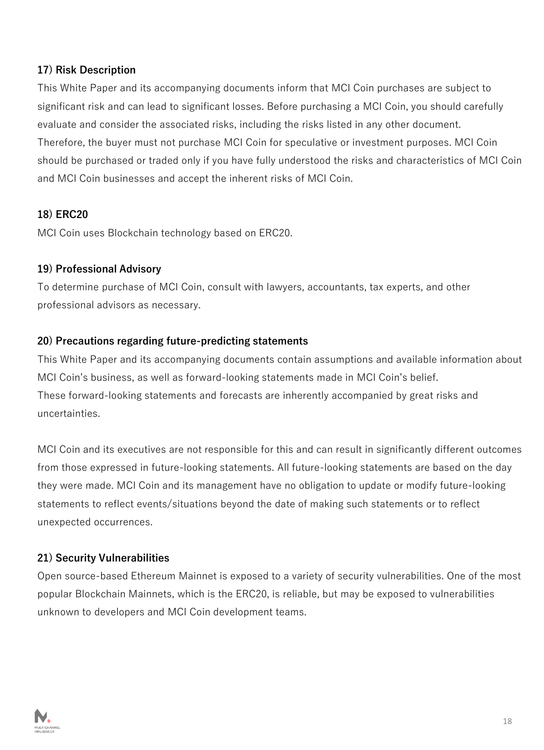#### **17) Risk Description**

This White Paper and its accompanying documents inform that MCI Coin purchases are subject to significant risk and can lead to significant losses. Before purchasing a MCI Coin, you should carefully evaluate and consider the associated risks, including the risks listed in any other document. Therefore, the buyer must not purchase MCI Coin for speculative or investment purposes. MCI Coin should be purchased or traded only if you have fully understood the risks and characteristics of MCI Coin and MCI Coin businesses and accept the inherent risks of MCI Coin.

#### **18) ERC20**

MCI Coin uses Blockchain technology based on ERC20.

#### **19) Professional Advisory**

To determine purchase of MCI Coin, consult with lawyers, accountants, tax experts, and other professional advisors as necessary.

#### **20) Precautions regarding future-predicting statements**

This White Paper and its accompanying documents contain assumptions and available information about MCI Coin's business, as well as forward-looking statements made in MCI Coin's belief. These forward-looking statements and forecasts are inherently accompanied by great risks and uncertainties.

MCI Coin and its executives are not responsible for this and can result in significantly different outcomes from those expressed in future-looking statements. All future-looking statements are based on the day they were made. MCI Coin and its management have no obligation to update or modify future-looking statements to reflect events/situations beyond the date of making such statements or to reflect unexpected occurrences.

#### **21) Security Vulnerabilities**

Open source-based Ethereum Mainnet is exposed to a variety of security vulnerabilities. One of the most popular Blockchain Mainnets, which is the ERC20, is reliable, but may be exposed to vulnerabilities unknown to developers and MCI Coin development teams.

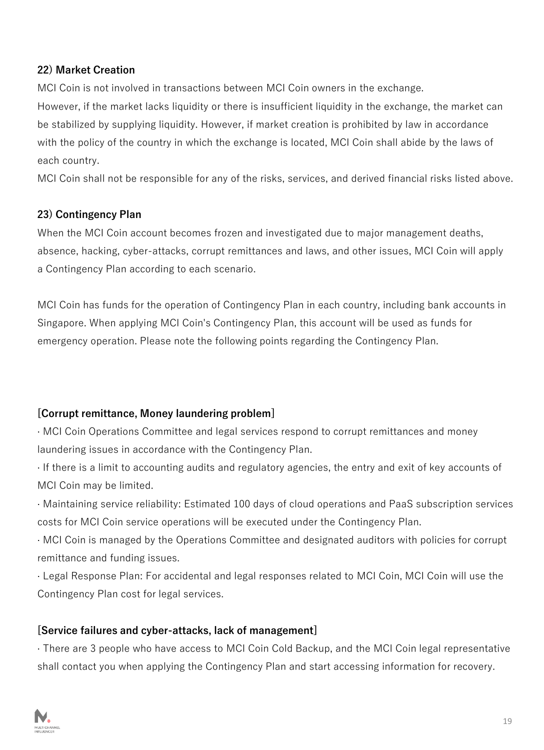#### **22) Market Creation**

MCI Coin is not involved in transactions between MCI Coin owners in the exchange.

However, if the market lacks liquidity or there is insufficient liquidity in the exchange, the market can be stabilized by supplying liquidity. However, if market creation is prohibited by law in accordance with the policy of the country in which the exchange is located, MCI Coin shall abide by the laws of each country.

MCI Coin shall not be responsible for any of the risks, services, and derived financial risks listed above.

#### **23) Contingency Plan**

When the MCI Coin account becomes frozen and investigated due to major management deaths, absence, hacking, cyber-attacks, corrupt remittances and laws, and other issues, MCI Coin will apply a Contingency Plan according to each scenario.

MCI Coin has funds for the operation of Contingency Plan in each country, including bank accounts in Singapore. When applying MCI Coin's Contingency Plan, this account will be used as funds for emergency operation. Please note the following points regarding the Contingency Plan.

#### **[Corrupt remittance, Money laundering problem]**

· MCI Coin Operations Committee and legal services respond to corrupt remittances and money laundering issues in accordance with the Contingency Plan.

· If there is a limit to accounting audits and regulatory agencies, the entry and exit of key accounts of MCI Coin may be limited.

· Maintaining service reliability: Estimated 100 days of cloud operations and PaaS subscription services costs for MCI Coin service operations will be executed under the Contingency Plan.

· MCI Coin is managed by the Operations Committee and designated auditors with policies for corrupt remittance and funding issues.

· Legal Response Plan: For accidental and legal responses related to MCI Coin, MCI Coin will use the Contingency Plan cost for legal services.

#### **[Service failures and cyber-attacks, lack of management]**

· There are 3 people who have access to MCI Coin Cold Backup, and the MCI Coin legal representative shall contact you when applying the Contingency Plan and start accessing information for recovery.